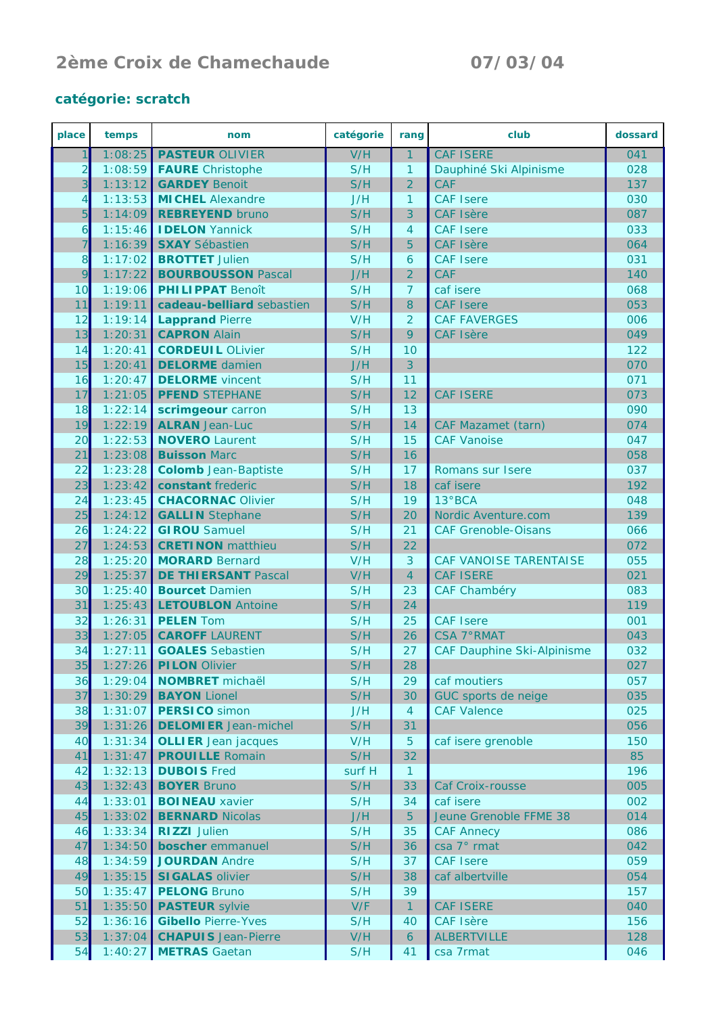## **2ème Croix de Chamechaude 07/03/04**

## **catégorie:** *scratch*

| place          | temps              | nom                                           | catégorie  | rang           | club                                      | dossard    |
|----------------|--------------------|-----------------------------------------------|------------|----------------|-------------------------------------------|------------|
| 1              | 1:08:25            | <b>PASTEUR OLIVIER</b>                        | V/H        | $\mathbf{1}$   | <b>CAF ISERE</b>                          | 041        |
| $\overline{2}$ | 1:08:59            | <b>FAURE</b> Christophe                       | S/H        | $\mathbf{1}$   | Dauphiné Ski Alpinisme                    | 028        |
| $\overline{3}$ | 1:13:12            | <b>GARDEY Benoit</b>                          | S/H        | $\overline{2}$ | CAF                                       | 137        |
| 4              | 1:13:53            | <b>MICHEL Alexandre</b>                       | J/H        | $\mathbf{1}$   | <b>CAF Isere</b>                          | 030        |
| $\overline{5}$ | 1:14:09            | <b>REBREYEND bruno</b>                        | S/H        | 3              | <b>CAF Isère</b>                          | 087        |
| $\mathbf{6}$   | 1:15:46            | <b>IDELON</b> Yannick                         | S/H        | 4              | <b>CAF Isere</b>                          | 033        |
| $\overline{7}$ | 1:16:39            | <b>SXAY</b> Sébastien                         | S/H        | 5              | <b>CAF Isère</b>                          | 064        |
| $\overline{8}$ | 1:17:02            | <b>BROTTET Julien</b>                         | S/H        | 6              | <b>CAF Isere</b>                          | 031        |
| 9              | 1:17:22            | <b>BOURBOUSSON Pascal</b>                     | J/H        | $\overline{2}$ | CAF                                       | 140        |
| 10             | 1:19:06            | <b>PHILIPPAT Benoît</b>                       | S/H        | $\overline{7}$ | caf isere                                 | 068        |
| 11             | 1:19:11            | cadeau-belliard sebastien                     | S/H        | 8              | <b>CAF Isere</b>                          | 053        |
| 12             | 1:19:14            | <b>Lapprand Pierre</b>                        | V/H        | $\overline{2}$ | <b>CAF FAVERGES</b>                       | 006        |
| 13             | 1:20:31            | <b>CAPRON Alain</b>                           | S/H        | 9              | <b>CAF Isère</b>                          | 049        |
| 14             | 1:20:41            | <b>CORDEUIL OLivier</b>                       | S/H        | 10             |                                           | 122        |
| 15             | 1:20:41            | <b>DELORME</b> damien                         | J/H        | 3              |                                           | 070        |
| 16             | 1:20:47            | <b>DELORME</b> vincent                        | S/H        | 11             |                                           | 071        |
| 17             | 1:21:05            | <b>PFEND STEPHANE</b>                         | S/H        | 12             | <b>CAF ISERE</b>                          | 073        |
| 18             | 1:22:14            | scrimgeour carron                             | S/H        | 13             |                                           | 090        |
| 19             | 1:22:19            | <b>ALRAN</b> Jean-Luc                         | S/H        | 14             | <b>CAF Mazamet (tarn)</b>                 | 074        |
| 20             | 1:22:53            | <b>NOVERO</b> Laurent                         | S/H        | 15             | <b>CAF Vanoise</b>                        | 047        |
| 21             | 1:23:08            | <b>Buisson Marc</b>                           | S/H        | 16             |                                           | 058        |
| 22             | 1:23:28            | <b>Colomb</b> Jean-Baptiste                   | S/H        | 17             | Romans sur Isere                          | 037        |
| 23             | 1:23:42            | constant frederic                             | S/H        | 18             | caf isere                                 | 192        |
| 24             | 1:23:45            | <b>CHACORNAC Olivier</b>                      | S/H        | 19             | 13°BCA                                    | 048        |
| 25             | 1:24:12            | <b>GALLIN</b> Stephane                        | S/H        | 20             | Nordic Aventure.com                       | 139        |
| 26             | 1:24:22            | <b>GIROU</b> Samuel                           | S/H        | 21             | <b>CAF Grenoble-Oisans</b>                | 066        |
| 27             | 1:24:53            | <b>CRETINON</b> matthieu                      | S/H        | 22             |                                           | 072        |
| 28             | 1:25:20            | <b>MORARD Bernard</b>                         | V/H        | 3              | CAF VANOISE TARENTAISE                    | 055        |
| 29             | 1:25:37            | <b>DE THIERSANT Pascal</b>                    | V/H        | $\overline{4}$ | <b>CAF ISERE</b>                          | 021        |
| 30             | 1:25:40            | <b>Bourcet Damien</b>                         | S/H        | 23             | <b>CAF Chambéry</b>                       | 083        |
| 31             | 1:25:43            | <b>LETOUBLON</b> Antoine                      | S/H        | 24             |                                           | 119        |
| 32             | 1:26:31            | <b>PELEN Tom</b>                              | S/H        | 25             | <b>CAF Isere</b>                          | 001        |
| 33             | 1:27:05            | <b>CAROFF LAURENT</b>                         | S/H        | 26             | <b>CSA 7° RMAT</b>                        | 043        |
| 34<br>35       | 1:27:11<br>1:27:26 | <b>GOALES</b> Sebastien                       | S/H<br>S/H | 27<br>28       | <b>CAF Dauphine Ski-Alpinisme</b>         | 032        |
|                |                    | <b>PILON Olivier</b>                          |            |                |                                           | 027        |
| 36<br>37       | 1:29:04            | <b>NOMBRET</b> michaël<br><b>BAYON Lionel</b> | S/H<br>S/H | 29<br>30       | caf moutiers                              | 057<br>035 |
| 38             | 1:30:29<br>1:31:07 | <b>PERSICO</b> simon                          | J/H        | $\overline{4}$ | GUC sports de neige<br><b>CAF Valence</b> | 025        |
| 39             | 1:31:26            | <b>DELOMIER</b> Jean-michel                   | S/H        | 31             |                                           | 056        |
| 40             | 1:31:34            | <b>OLLIER</b> Jean jacques                    | V/H        | 5              | caf isere grenoble                        | 150        |
| 41             | 1:31:47            | <b>PROUILLE</b> Romain                        | S/H        | 32             |                                           | 85         |
| 42             | 1:32:13            | <b>DUBOIS</b> Fred                            | surf H     | $\mathbf{1}$   |                                           | 196        |
| 43             | 1:32:43            | <b>BOYER Bruno</b>                            | S/H        | 33             | Caf Croix-rousse                          | 005        |
| 44             | 1:33:01            | <b>BOINEAU</b> xavier                         | S/H        | 34             | caf isere                                 | 002        |
| 45             | 1:33:02            | <b>BERNARD Nicolas</b>                        | J/H        | 5 <sup>5</sup> | Jeune Grenoble FFME 38                    | 014        |
| 46             | 1:33:34            | <b>RIZZI</b> Julien                           | S/H        | 35             | <b>CAF Annecy</b>                         | 086        |
| 47             | 1:34:50            | boscher emmanuel                              | S/H        | 36             | csa 7° rmat                               | 042        |
| 48             | 1:34:59            | <b>JOURDAN Andre</b>                          | S/H        | 37             | <b>CAF Isere</b>                          | 059        |
| 49             | 1:35:15            | <b>SIGALAS olivier</b>                        | S/H        | 38             | caf albertville                           | 054        |
| 50             | 1:35:47            | <b>PELONG Bruno</b>                           | S/H        | 39             |                                           | 157        |
| 51             | 1:35:50            | <b>PASTEUR</b> sylvie                         | V/F        | $\mathbf{1}$   | <b>CAF ISERE</b>                          | 040        |
| 52             | 1:36:16            | <b>Gibello Pierre-Yves</b>                    | S/H        | 40             | CAF Isère                                 | 156        |
| 53             | 1:37:04            | <b>CHAPUIS</b> Jean-Pierre                    | V/H        | $\mathbf{6}$   | <b>ALBERTVILLE</b>                        | 128        |
| 54             | 1:40:27            | <b>METRAS</b> Gaetan                          | S/H        | 41             | csa 7rmat                                 | 046        |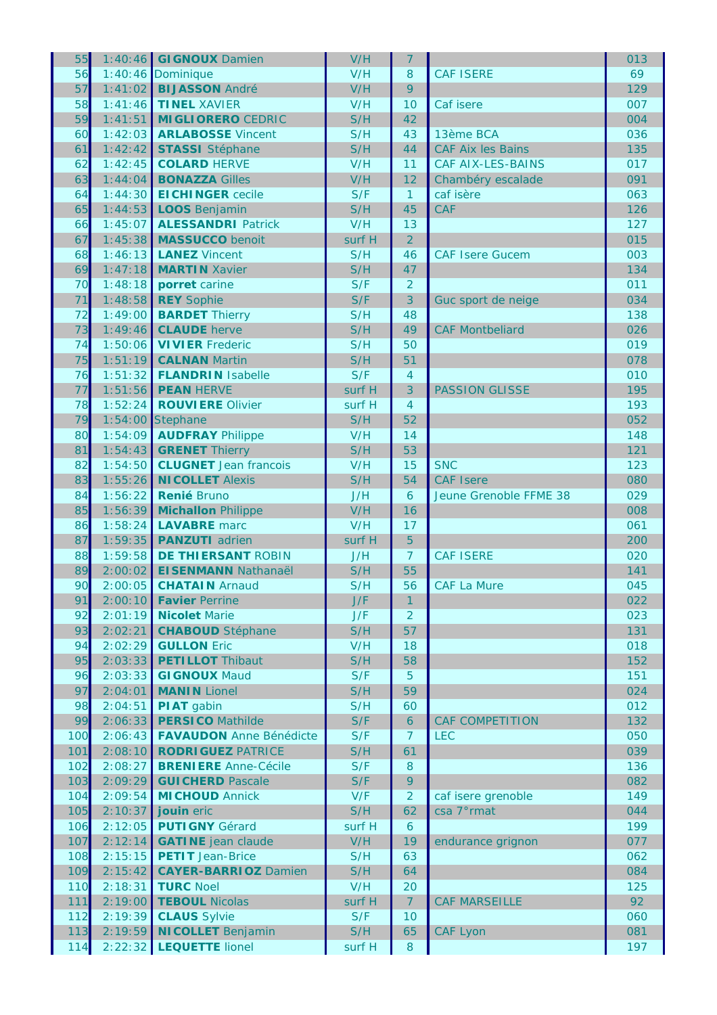| 55  |         | 1:40:46 GIGNOUX Damien         | V/H    | $\overline{7}$ |                          | 013 |
|-----|---------|--------------------------------|--------|----------------|--------------------------|-----|
| 56  | 1:40:46 | Dominique                      | V/H    | 8              | <b>CAF ISERE</b>         | 69  |
| 57  | 1:41:02 | <b>BIJASSON André</b>          | V/H    | 9              |                          | 129 |
| 58  | 1:41:46 | <b>TINEL XAVIER</b>            | V/H    | 10             | Caf isere                | 007 |
| 59  | 1:41:51 | <b>MIGLIORERO CEDRIC</b>       | S/H    | 42             |                          | 004 |
| 60  | 1:42:03 | <b>ARLABOSSE Vincent</b>       | S/H    | 43             | 13ème BCA                | 036 |
| 61  | 1:42:42 | <b>STASSI</b> Stéphane         | S/H    | 44             | <b>CAF Aix les Bains</b> | 135 |
| 62  | 1:42:45 | <b>COLARD HERVE</b>            | V/H    | 11             | CAF AIX-LES-BAINS        | 017 |
| 63  | 1:44:04 | <b>BONAZZA Gilles</b>          | V/H    | 12             | Chambéry escalade        | 091 |
| 64  | 1:44:30 | <b>EICHINGER</b> cecile        | S/F    | $\mathbf{1}$   | caf isère                | 063 |
| 65  | 1:44:53 | <b>LOOS</b> Benjamin           | S/H    | 45             | CAF                      | 126 |
| 66  | 1:45:07 | <b>ALESSANDRI Patrick</b>      | V/H    | 13             |                          | 127 |
| 67  | 1:45:38 | <b>MASSUCCO</b> benoit         | surf H | $\overline{2}$ |                          | 015 |
|     |         |                                |        |                |                          |     |
| 68  | 1:46:13 | <b>LANEZ Vincent</b>           | S/H    | 46             | <b>CAF Isere Gucem</b>   | 003 |
| 69  | 1:47:18 | <b>MARTIN Xavier</b>           | S/H    | 47             |                          | 134 |
| 70  | 1:48:18 | porret carine                  | S/F    | $\overline{2}$ |                          | 011 |
| 71  | 1:48:58 | <b>REY Sophie</b>              | S/F    | 3              | Guc sport de neige       | 034 |
| 72  | 1:49:00 | <b>BARDET Thierry</b>          | S/H    | 48             |                          | 138 |
| 73  | 1:49:46 | <b>CLAUDE</b> herve            | S/H    | 49             | <b>CAF Montbeliard</b>   | 026 |
| 74  | 1:50:06 | <b>VIVIER Frederic</b>         | S/H    | 50             |                          | 019 |
| 75  | 1:51:19 | <b>CALNAN Martin</b>           | S/H    | 51             |                          | 078 |
| 76  | 1:51:32 | <b>FLANDRIN Isabelle</b>       | S/F    | $\overline{4}$ |                          | 010 |
| 77  | 1:51:56 | <b>PEAN HERVE</b>              | surf H | 3              | <b>PASSION GLISSE</b>    | 195 |
| 78  | 1:52:24 | <b>ROUVIERE Olivier</b>        | surf H | $\overline{4}$ |                          | 193 |
| 79  | 1:54:00 | Stephane                       | S/H    | 52             |                          | 052 |
| 80  | 1:54:09 | <b>AUDFRAY Philippe</b>        | V/H    | 14             |                          | 148 |
| 81  | 1:54:43 | <b>GRENET Thierry</b>          | S/H    | 53             |                          | 121 |
| 82  | 1:54:50 | <b>CLUGNET</b> Jean francois   | V/H    | 15             | <b>SNC</b>               | 123 |
| 83  | 1:55:26 | <b>NICOLLET Alexis</b>         | S/H    | 54             | <b>CAF Isere</b>         | 080 |
| 84  | 1:56:22 | <b>Renié Bruno</b>             | J/H    | 6              | Jeune Grenoble FFME 38   | 029 |
| 85  | 1:56:39 | <b>Michallon Philippe</b>      | V/H    | 16             |                          | 008 |
| 86  | 1:58:24 | <b>LAVABRE</b> marc            | V/H    | 17             |                          | 061 |
| 87  | 1:59:35 | <b>PANZUTI</b> adrien          | surf H | 5              |                          | 200 |
| 88  | 1:59:58 | <b>DE THIERSANT ROBIN</b>      | J/H    | $\overline{7}$ | <b>CAF ISERE</b>         | 020 |
| 89  | 2:00:02 | <b>EISENMANN Nathanaël</b>     | S/H    | 55             |                          | 141 |
| 90  | 2:00:05 | <b>CHATAIN Arnaud</b>          | S/H    | 56             | <b>CAF La Mure</b>       | 045 |
| 91  | 2:00:10 | <b>Favier Perrine</b>          | J/F    | 1              |                          | 022 |
| 92  | 2:01:19 | <b>Nicolet Marie</b>           | J/F    | $\overline{2}$ |                          | 023 |
| 93  |         | <b>CHABOUD</b> Stéphane        |        |                |                          |     |
|     | 2:02:21 | <b>GULLON Eric</b>             | S/H    | 57             |                          | 131 |
| 94  | 2:02:29 |                                | V/H    | 18             |                          | 018 |
| 95  | 2:03:33 | <b>PETILLOT</b> Thibaut        | S/H    | 58             |                          | 152 |
| 96  | 2:03:33 | <b>GIGNOUX Maud</b>            | S/F    | 5              |                          | 151 |
| 97  | 2:04:01 | <b>MANIN Lionel</b>            | S/H    | 59             |                          | 024 |
| 98  | 2:04:51 | <b>PIAT</b> gabin              | S/H    | 60             |                          | 012 |
| 99  | 2:06:33 | <b>PERSICO Mathilde</b>        | S/F    | 6              | <b>CAF COMPETITION</b>   | 132 |
| 100 | 2:06:43 | <b>FAVAUDON</b> Anne Bénédicte | S/F    | $\overline{7}$ | <b>LEC</b>               | 050 |
| 101 | 2:08:10 | <b>RODRIGUEZ PATRICE</b>       | S/H    | 61             |                          | 039 |
| 102 | 2:08:27 | <b>BRENIERE</b> Anne-Cécile    | S/F    | 8              |                          | 136 |
| 103 | 2:09:29 | <b>GUICHERD Pascale</b>        | S/F    | 9              |                          | 082 |
| 104 | 2:09:54 | <b>MICHOUD Annick</b>          | V/F    | $\overline{2}$ | caf isere grenoble       | 149 |
| 105 | 2:10:37 | jouin eric                     | S/H    | 62             | csa 7°rmat               | 044 |
| 106 | 2:12:05 | <b>PUTIGNY Gérard</b>          | surf H | 6              |                          | 199 |
| 107 | 2:12:14 | <b>GATINE</b> jean claude      | V/H    | 19             | endurance grignon        | 077 |
| 108 | 2:15:15 | <b>PETIT</b> Jean-Brice        | S/H    | 63             |                          | 062 |
| 109 | 2:15:42 | <b>CAYER-BARRIOZ Damien</b>    | S/H    | 64             |                          | 084 |
| 110 | 2:18:31 | <b>TURC Noel</b>               | V/H    | 20             |                          | 125 |
| 111 | 2:19:00 | <b>TEBOUL Nicolas</b>          | surf H | $\overline{7}$ | <b>CAF MARSEILLE</b>     | 92  |
| 112 | 2:19:39 | <b>CLAUS</b> Sylvie            | S/F    | 10             |                          | 060 |
| 113 | 2:19:59 | <b>NICOLLET Benjamin</b>       | S/H    | 65             | <b>CAF Lyon</b>          | 081 |
| 114 | 2:22:32 | <b>LEQUETTE lionel</b>         | surf H | 8              |                          | 197 |
|     |         |                                |        |                |                          |     |